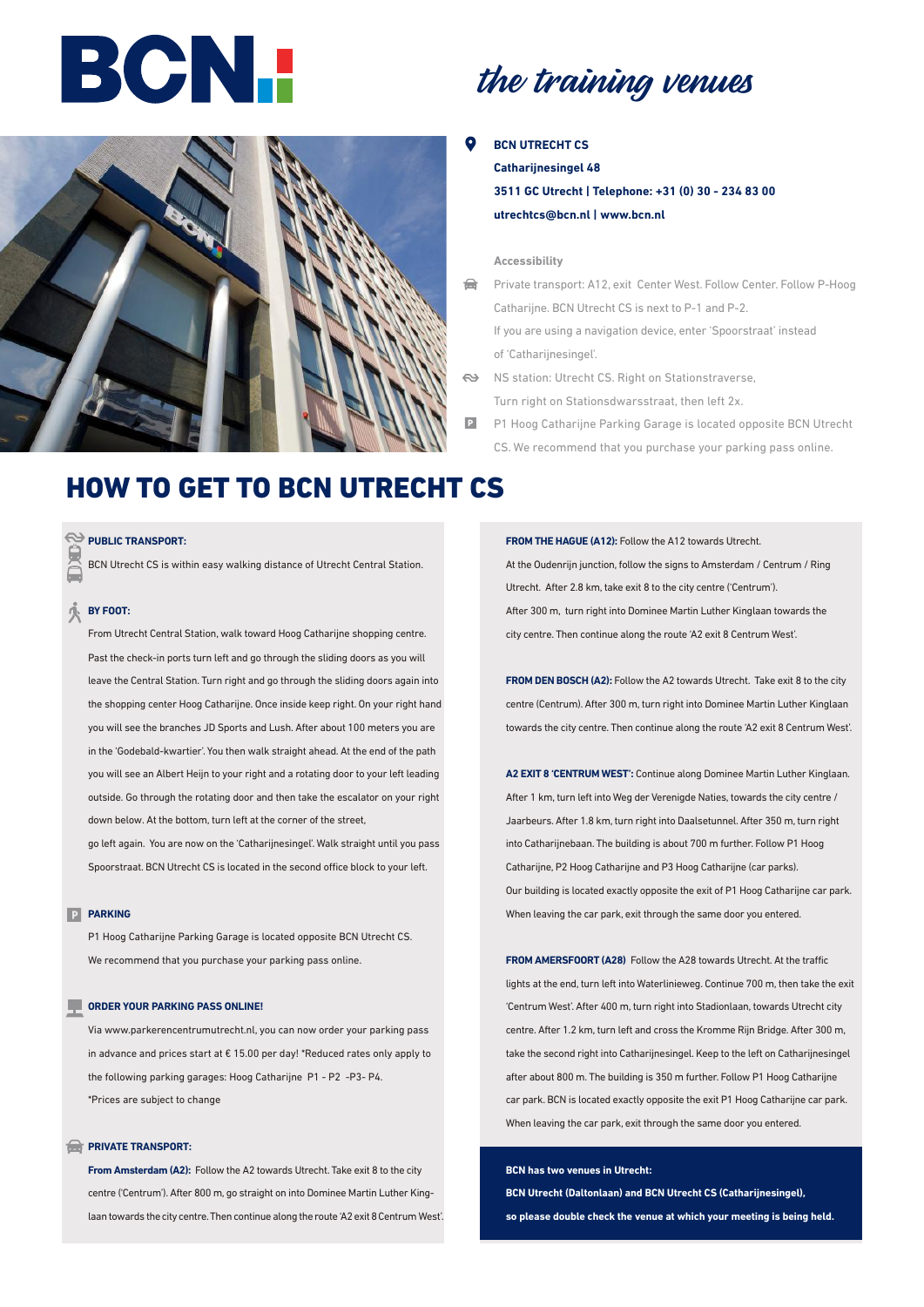## BCNH



## the training venues

**BCN UTRECHT CS Catharijnesingel 48 3511 GC Utrecht | Telephone: +31 (0) 30 - 234 83 00 utrechtcs@bcn.nl | www.bcn.nl**

#### **Accessibility**

- Private transport: A12, exit Center West. Follow Center. Follow P-Hoog  $\Rightarrow$ Catharijne. BCN Utrecht CS is next to P-1 and P-2. If you are using a navigation device, enter 'Spoorstraat' instead of 'Catharijnesingel'.
- $\leftrightarrow$ NS station: Utrecht CS. Right on Stationstraverse, Turn right on Stationsdwarsstraat, then left 2x.
- $\mathbb{R}$ P1 Hoog Catharijne Parking Garage is located opposite BCN Utrecht CS. We recommend that you purchase your parking pass online.

### HOW TO GET TO BCN UTRECHT CS

### PUBLIC TRANSPORT:

BCN Utrecht CS is within easy walking distance of Utrecht Central Station.

#### **BY FOOT:**

From Utrecht Central Station, walk toward Hoog Catharijne shopping centre. Past the check-in ports turn left and go through the sliding doors as you will leave the Central Station. Turn right and go through the sliding doors again into the shopping center Hoog Catharijne. Once inside keep right. On your right hand you will see the branches JD Sports and Lush. After about 100 meters you are in the 'Godebald-kwartier'. You then walk straight ahead. At the end of the path you will see an Albert Heijn to your right and a rotating door to your left leading outside. Go through the rotating door and then take the escalator on your right down below. At the bottom, turn left at the corner of the street,

go left again. You are now on the 'Catharijnesingel'. Walk straight until you pass Spoorstraat. BCN Utrecht CS is located in the second office block to your left.

#### **P**<br>PARKING

P1 Hoog Catharijne Parking Garage is located opposite BCN Utrecht CS. We recommend that you purchase your parking pass online.

#### **ORDER YOUR PARKING PASS ONLINE!**

Via www.parkerencentrumutrecht.nl, you can now order your parking pass in advance and prices start at € 15.00 per day! \*Reduced rates only apply to the following parking garages: Hoog Catharijne P1 - P2 -P3- P4. \*Prices are subject to change

#### **PRIVATE TRANSPORT:**

**From Amsterdam (A2):** Follow the A2 towards Utrecht. Take exit 8 to the city centre ('Centrum'). After 800 m, go straight on into Dominee Martin Luther Kinglaan towards the city centre. Then continue along the route 'A2 exit 8 Centrum West'. **FROM THE HAGUE (A12):** Follow the A12 towards Utrecht. At the Oudenrijn junction, follow the signs to Amsterdam / Centrum / Ring Utrecht. After 2.8 km, take exit 8 to the city centre ('Centrum'). After 300 m, turn right into Dominee Martin Luther Kinglaan towards the city centre. Then continue along the route 'A2 exit 8 Centrum West'.

**FROM DEN BOSCH (A2):** Follow the A2 towards Utrecht. Take exit 8 to the city centre (Centrum). After 300 m, turn right into Dominee Martin Luther Kinglaan towards the city centre. Then continue along the route 'A2 exit 8 Centrum West'.

**A2 EXIT 8 'CENTRUM WEST':** Continue along Dominee Martin Luther Kinglaan. After 1 km, turn left into Weg der Verenigde Naties, towards the city centre / Jaarbeurs. After 1.8 km, turn right into Daalsetunnel. After 350 m, turn right into Catharijnebaan. The building is about 700 m further. Follow P1 Hoog Catharijne, P2 Hoog Catharijne and P3 Hoog Catharijne (car parks). Our building is located exactly opposite the exit of P1 Hoog Catharijne car park. When leaving the car park, exit through the same door you entered.

**FROM AMERSFOORT (A28)** Follow the A28 towards Utrecht. At the traffic lights at the end, turn left into Waterlinieweg. Continue 700 m, then take the exit 'Centrum West'. After 400 m, turn right into Stadionlaan, towards Utrecht city centre. After 1.2 km, turn left and cross the Kromme Rijn Bridge. After 300 m, take the second right into Catharijnesingel. Keep to the left on Catharijnesingel after about 800 m. The building is 350 m further. Follow P1 Hoog Catharijne car park. BCN is located exactly opposite the exit P1 Hoog Catharijne car park. When leaving the car park, exit through the same door you entered.

### **BCN has two venues in Utrecht: BCN Utrecht (Daltonlaan) and BCN Utrecht CS (Catharijnesingel),**

**so please double check the venue at which your meeting is being held.**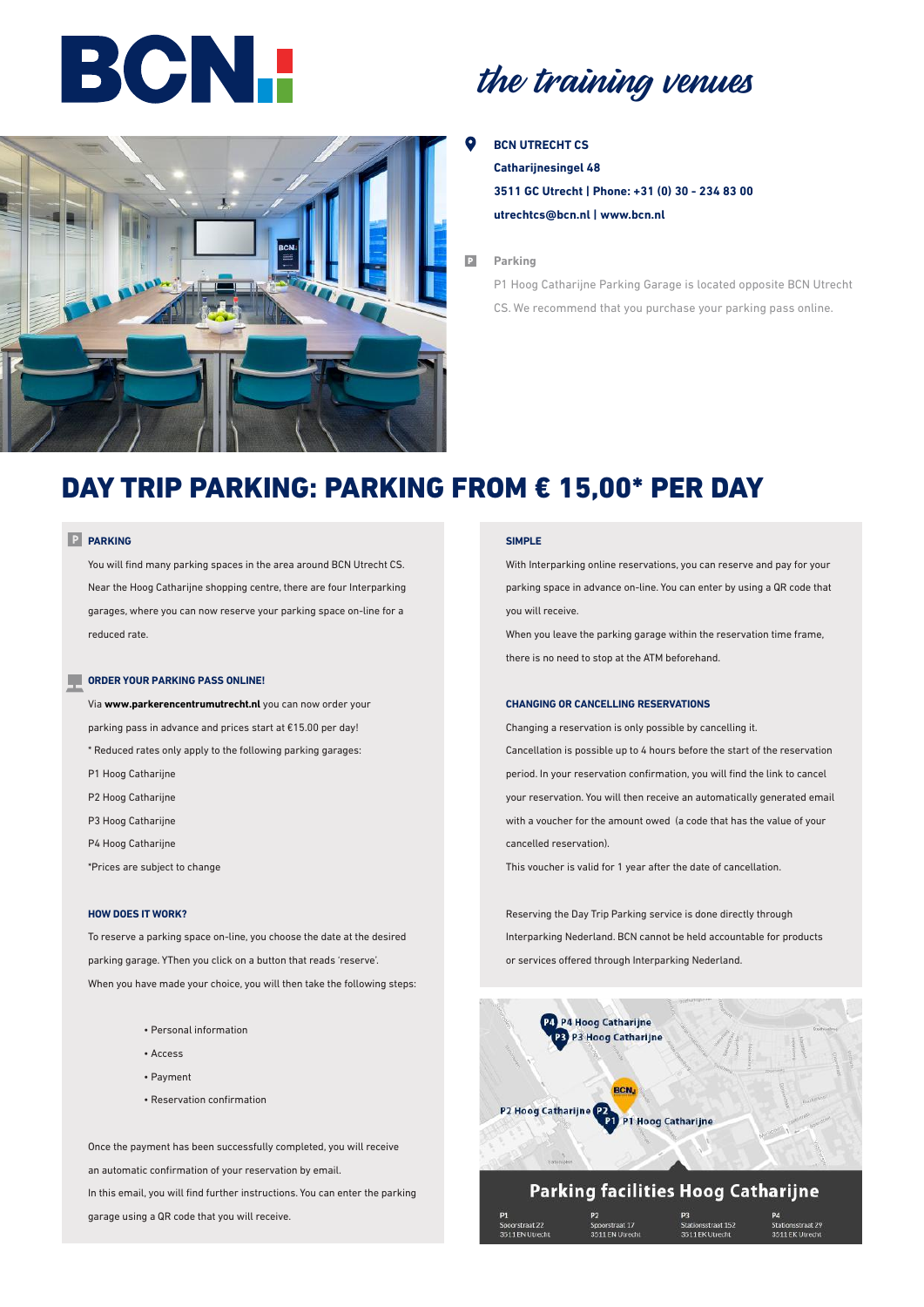# BCNH



## the training venues

**BCN UTRECHT CS Catharijnesingel 48 3511 GC Utrecht | Phone: +31 (0) 30 - 234 83 00 utrechtcs@bcn.nl | www.bcn.nl**

 $\mathbb{P}$ **Parking**

> P1 Hoog Catharijne Parking Garage is located opposite BCN Utrecht CS. We recommend that you purchase your parking pass online.

## DAY TRIP PARKING: PARKING FROM € 15,00\* PER DAY

#### **PARKING**

You will find many parking spaces in the area around BCN Utrecht CS. Near the Hoog Catharijne shopping centre, there are four Interparking garages, where you can now reserve your parking space on-line for a reduced rate.

#### **ORDER YOUR PARKING PASS ONLINE!**

Via **www.parkerencentrumutrecht.nl** you can now order your parking pass in advance and prices start at €15.00 per day! \* Reduced rates only apply to the following parking garages: P1 Hoog Catharijne P2 Hoog Catharijne

- P3 Hoog Catharijne
- P4 Hoog Catharijne
- \*Prices are subject to change

#### **HOW DOES IT WORK?**

To reserve a parking space on-line, you choose the date at the desired parking garage. YThen you click on a button that reads 'reserve'. When you have made your choice, you will then take the following steps:

- Personal information
- Access
- Payment
- Reservation confirmation

Once the payment has been successfully completed, you will receive an automatic confirmation of your reservation by email. In this email, you will find further instructions. You can enter the parking garage using a QR code that you will receive.

#### **SIMPLE**

With Interparking online reservations, you can reserve and pay for your parking space in advance on-line. You can enter by using a QR code that you will receive.

When you leave the parking garage within the reservation time frame, there is no need to stop at the ATM beforehand.

#### **CHANGING OR CANCELLING RESERVATIONS**

cancelled reservation).

P1<br>Spoorstraat 22<br>3511 EN Utrech

Changing a reservation is only possible by cancelling it. Cancellation is possible up to 4 hours before the start of the reservation period. In your reservation confirmation, you will find the link to cancel your reservation. You will then receive an automatically generated email with a voucher for the amount owed (a code that has the value of your

This voucher is valid for 1 year after the date of cancellation.

Reserving the Day Trip Parking service is done directly through Interparking Nederland. BCN cannot be held accountable for products or services offered through Interparking Nederland.



ra<br>Stationsstraat 152<br>3511 EK Utrecht

r⇒<br>Stationsstraat 29<br>3511 EK Utrecht

r z<br>Spoorstraat 17<br>3511 EN Utrechi